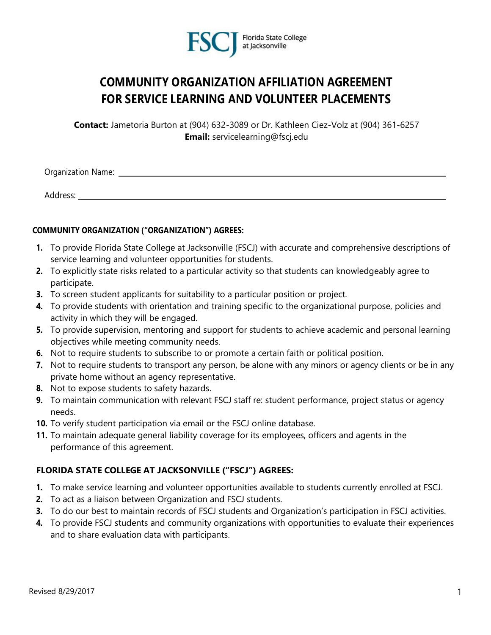

# **COMMUNITY ORGANIZATION AFFILIATION AGREEMENT FOR SERVICE LEARNING AND VOLUNTEER PLACEMENTS**

**Contact:** Jametoria Burton at (904) 632-3089 or Dr. Kathleen Ciez-Volz at (904) 361-6257 **Email:** servicelearning@fscj.edu

Organization Name:

Address:

#### **COMMUNITY ORGANIZATION ("ORGANIZATION") AGREES:**

- **1.** To provide Florida State College at Jacksonville (FSCJ) with accurate and comprehensive descriptions of service learning and volunteer opportunities for students.
- **2.** To explicitly state risks related to a particular activity so that students can knowledgeably agree to participate.
- **3.** To screen student applicants for suitability to a particular position or project.
- **4.** To provide students with orientation and training specific to the organizational purpose, policies and activity in which they will be engaged.
- **5.** To provide supervision, mentoring and support for students to achieve academic and personal learning objectives while meeting community needs.
- **6.** Not to require students to subscribe to or promote a certain faith or political position.
- **7.** Not to require students to transport any person, be alone with any minors or agency clients or be in any private home without an agency representative.
- **8.** Not to expose students to safety hazards.
- **9.** To maintain communication with relevant FSCJ staff re: student performance, project status or agency needs.
- **10.** To verify student participation via email or the FSCJ online database.
- **11.** To maintain adequate general liability coverage for its employees, officers and agents in the performance of this agreement.

### **FLORIDA STATE COLLEGE AT JACKSONVILLE ("FSCJ") AGREES:**

- **1.** To make service learning and volunteer opportunities available to students currently enrolled at FSCJ.
- **2.** To act as a liaison between Organization and FSCJ students.
- **3.** To do our best to maintain records of FSCJ students and Organization's participation in FSCJ activities.
- **4.** To provide FSCJ students and community organizations with opportunities to evaluate their experiences and to share evaluation data with participants.